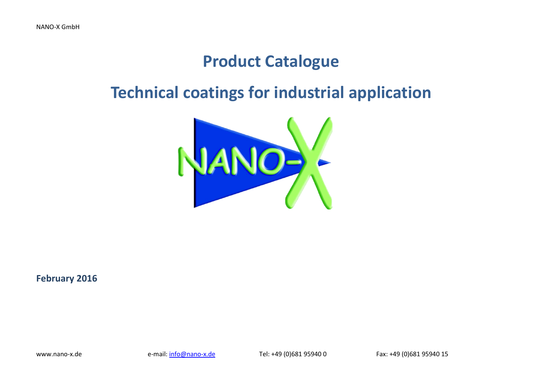# **Product Catalogue**

# **Technical coatings for industrial application**



**February 2016**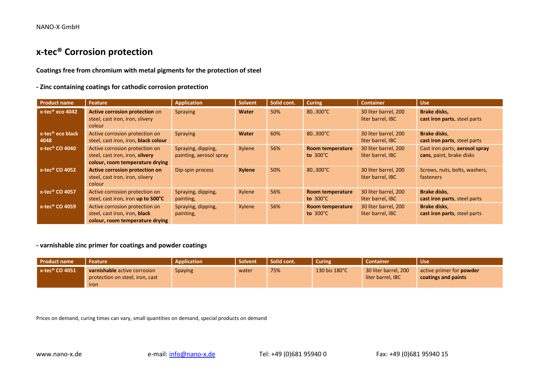### **x-tec® Corrosion protection**

**Coatings free from chromium with metal pigments for the protection of steel**

**- Zinc containing coatings for cathodic corrosion protection**

| <b>Product name</b>                  | Feature                                                                                              | <b>Application</b>                            | <b>Solvent</b> | Solid cont. | <b>Curing</b>                                 | <b>Container</b>                          | <b>Use</b>                                                 |
|--------------------------------------|------------------------------------------------------------------------------------------------------|-----------------------------------------------|----------------|-------------|-----------------------------------------------|-------------------------------------------|------------------------------------------------------------|
| x-tec <sup>®</sup> eco 4042          | Active corrosion protection on<br>steel, cast iron, iron, silvery<br>colour                          | Spraying                                      | <b>Water</b>   | 50%         | 80.300°C                                      | 30 liter barrel, 200<br>liter barrel, IBC | <b>Brake disks,</b><br>cast iron parts, steel parts        |
| x-tec <sup>®</sup> eco black<br>4048 | Active corrosion protection on<br>steel, cast iron, iron, black colour                               | Spraying                                      | <b>Water</b>   | 60%         | 80.300°C                                      | 30 liter barrel, 200<br>liter barrel, IBC | <b>Brake disks,</b><br>cast iron parts, steel parts        |
| $x$ -tec® CO 4040                    | Active corrosion protection on<br>steel, cast iron, iron, silvery<br>colour, room temperature drying | Spraying, dipping,<br>painting, aerosol spray | Xylene         | 56%         | <b>Room temperature</b><br>to $300^{\circ}$ C | 30 liter barrel, 200<br>liter barrel, IBC | Cast iron parts, aerosol spray<br>cans, paint, brake disks |
| x-tec <sup>®</sup> CO 4052           | <b>Active corrosion protection on</b><br>steel, cast iron, iron, silvery<br>colour                   | Dip-spin process                              | <b>Xylene</b>  | 50%         | 80.300°C                                      | 30 liter barrel, 200<br>liter barrel, IBC | Screws, nuts, bolts, washers,<br>fasteners                 |
| x-tec <sup>®</sup> CO 4057           | Active corrosion protection on<br>steel, cast iron, iron up to 500°C                                 | Spraying, dipping,<br>painting,               | Xylene         | 56%         | <b>Room temperature</b><br>to $300^{\circ}$ C | 30 liter barrel, 200<br>liter barrel, IBC | <b>Brake disks,</b><br>cast iron parts, steel parts        |
| $x$ -tec® CO 4059                    | Active corrosion protection on<br>steel, cast iron, iron, black<br>colour, room temperature drying   | Spraying, dipping,<br>painting,               | Xylene         | 56%         | Room temperature<br>to $300^{\circ}$ C        | 30 liter barrel, 200<br>liter barrel, IBC | Brake disks,<br>cast iron parts, steel parts               |

**- varnishable zinc primer for coatings and powder coatings**

| <b>Product name</b>           | <b>Feature</b>                                                                 | <b>Application</b> | <b>Solvent</b> | Solid cont. | <b>Curing</b> | <b>Container</b>                          | <b>Use</b>                                             |
|-------------------------------|--------------------------------------------------------------------------------|--------------------|----------------|-------------|---------------|-------------------------------------------|--------------------------------------------------------|
| $x$ -tec <sup>®</sup> CO 4051 | <b>varnishable</b> active corrosion<br>protection on steel, iron, cast<br>iron | <b>Spaying</b>     | water          | 75%         | 130 bis 180°C | 30 liter barrel, 200<br>liter barrel, IBC | active primer for <b>powder</b><br>coatings and paints |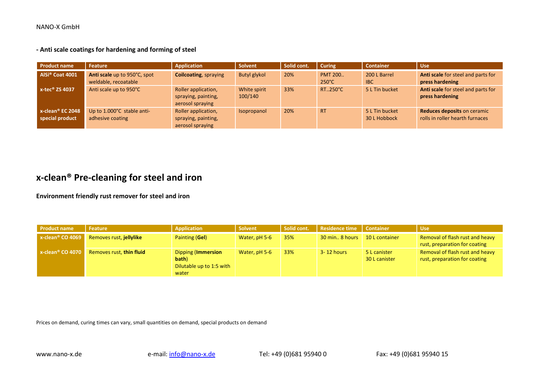**- Anti scale coatings for hardening and forming of steel**

| <b>Product name</b>                    | Feature                                              | Application                                                    | Solvent                 | Solid cont. | <b>Curing</b>                     | <b>Container</b>               | <b>Use</b>                                                     |
|----------------------------------------|------------------------------------------------------|----------------------------------------------------------------|-------------------------|-------------|-----------------------------------|--------------------------------|----------------------------------------------------------------|
| AlSi <sup>®</sup> Coat 4001            | Anti scale up to 950°C, spot<br>weldable, recoatable | <b>Coilcoating, spraying</b>                                   | <b>Butyl glykol</b>     | 20%         | <b>PMT 200</b><br>$250^{\circ}$ C | 200 L Barrel<br><b>IBC</b>     | Anti scale for steel and parts for<br>press hardening          |
| $x-tec^{\circ}$ ZS 4037                | Anti scale up to 950°C                               | Roller application,<br>spraying, painting,<br>aerosol spraying | White spirit<br>100/140 | 33%         | RT250°C                           | 5 L Tin bucket                 | Anti scale for steel and parts for<br>press hardening          |
| $x$ -clean® EC 2048<br>special product | Up to 1.000°C stable anti-<br>adhesive coating       | Roller application,<br>spraying, painting,<br>aerosol spraying | Isopropanol             | 20%         | <b>RT</b>                         | 5 L Tin bucket<br>30 L Hobbock | Reduces deposits on ceramic<br>rolls in roller hearth furnaces |

### **x-clean® Pre-cleaning for steel and iron**

**Environment friendly rust remover for steel and iron**

| <b>Product name</b>             | Feature                  | Application                                                             | <b>Solvent</b> | Solid cont. | Residence time   | <b>Container</b>              | <b>Use</b>                                                       |
|---------------------------------|--------------------------|-------------------------------------------------------------------------|----------------|-------------|------------------|-------------------------------|------------------------------------------------------------------|
| x-clean <sup>®</sup> CO 4069    | Removes rust, jellylike  | Painting (Gel)                                                          | Water, pH 5-6  | 35%         | 30 min., 8 hours | 10 L container                | Removal of flash rust and heavy<br>rust, preparation for coating |
| $x$ -clean <sup>®</sup> CO 4070 | Removes rust, thin fluid | <b>Dipping (Immersion</b><br>bath)<br>Dilutable up to 1:5 with<br>water | Water, pH 5-6  | 33%         | 3-12 hours       | 5 L canister<br>30 L canister | Removal of flash rust and heavy<br>rust, preparation for coating |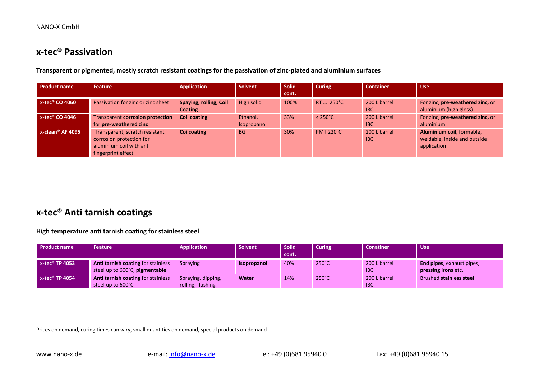### **x-tec® Passivation**

**Transparent or pigmented, mostly scratch resistant coatings for the passivation of zinc-plated and aluminium surfaces**

| <b>Product name</b> | Feature                                                                                                      | <b>Application</b>                | <b>Solvent</b>          | <b>Solid</b> | <b>Curing</b>     | <b>Container</b>           | <b>Use</b>                                                               |
|---------------------|--------------------------------------------------------------------------------------------------------------|-----------------------------------|-------------------------|--------------|-------------------|----------------------------|--------------------------------------------------------------------------|
|                     |                                                                                                              |                                   |                         | cont.        |                   |                            |                                                                          |
| $x$ -tec® CO 4060   | Passivation for zinc or zinc sheet                                                                           | Spaying, rolling, Coil<br>Coating | High solid              | 100%         | RT  250°C         | 200 L barrel<br><b>IBC</b> | For zinc, pre-weathered zinc, or<br>aluminium (high gloss)               |
| $x$ -tec® CO 4046   | Transparent corrosion protection<br>for pre-weathered zinc                                                   | <b>Coil coating</b>               | Ethanol,<br>Isopropanol | 33%          | $< 250^{\circ}$ C | 200 L barrel<br><b>IBC</b> | For zinc, pre-weathered zinc, or<br>aluminium                            |
| $x$ -clean® AF 4095 | Transparent, scratch resistant<br>corrosion protection for<br>aluminium coil with anti<br>fingerprint effect | <b>Coilcoating</b>                | <b>BG</b>               | 30%          | <b>PMT 220°C</b>  | 200 L barrel<br><b>IBC</b> | Aluminium coil, formable,<br>weldable, inside and outside<br>application |

### **x-tec® Anti tarnish coatings**

**High temperature anti tarnish coating for stainless steel**

| <b>Product name</b>           | <b>Feature</b>                                                       | Application                             | <b>Solvent</b>     | <b>Solid</b><br>cont. | Curing          | <b>Conatiner</b>           | <b>Use</b>                                                     |
|-------------------------------|----------------------------------------------------------------------|-----------------------------------------|--------------------|-----------------------|-----------------|----------------------------|----------------------------------------------------------------|
| $x$ -tec <sup>®</sup> TP 4053 | Anti tarnish coating for stainless<br>steel up to 600°C, pigmentable | Spraying                                | <b>Isopropanol</b> | 40%                   | $250^{\circ}$ C | 200 L barrel<br><b>IBC</b> | <b>End pipes, exhaust pipes,</b><br><b>pressing irons etc.</b> |
| $x$ -tec <sup>®</sup> TP 4054 | Anti tarnish coating for stainless<br>steel up to 600°C              | Spraying, dipping,<br>rolling, flushing | <b>Water</b>       | 14%                   | $250^{\circ}$ C | 200 L barrel<br><b>IBC</b> | <b>Brushed stainless steel</b>                                 |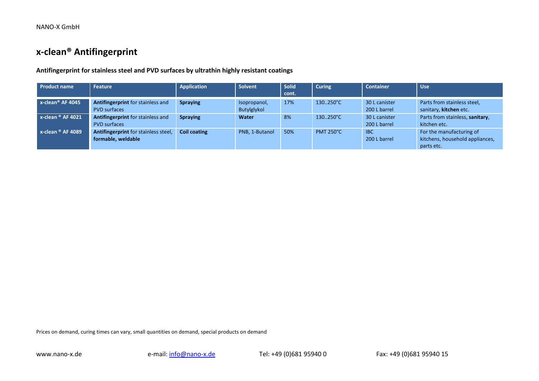### **x-clean® Antifingerprint**

**Antifingerprint for stainless steel and PVD surfaces by ultrathin highly resistant coatings**

| <b>Product name</b>             | Feature                              | <b>Application</b>  | <b>Solvent</b> | Solid | <b>Curing</b>    | <b>Container</b> | Use <sup>1</sup>                |
|---------------------------------|--------------------------------------|---------------------|----------------|-------|------------------|------------------|---------------------------------|
|                                 |                                      |                     |                | cont. |                  |                  |                                 |
| $x$ -clean <sup>®</sup> AF 4045 | Antifingerprint for stainless and    | <b>Spraying</b>     | Isopropanol,   | 17%   | 130250°C         | 30 L canister    | Parts from stainless steel,     |
|                                 | <b>PVD</b> surfaces                  |                     | Butylglykol    |       |                  | 200 L barrel     | sanitary, kitchen etc.          |
| $x$ -clean $^{\circ}$ AF 4021   | Antifingerprint for stainless and    | <b>Spraying</b>     | Water          | 8%    | 130250°C         | 30 L canister    | Parts from stainless, sanitary, |
|                                 | <b>PVD</b> surfaces                  |                     |                |       |                  | 200 L barrel     | kitchen etc.                    |
| $x$ -clean $^{\circ}$ AF 4089   | Antifingerprint for stainless steel, | <b>Coil coating</b> | PNB, 1-Butanol | 50%   | <b>PMT 250°C</b> | <b>IBC</b>       | For the manufacturing of        |
|                                 | formable, weldable                   |                     |                |       |                  | 200 L barrel     | kitchens, household appliances, |
|                                 |                                      |                     |                |       |                  |                  | parts etc.                      |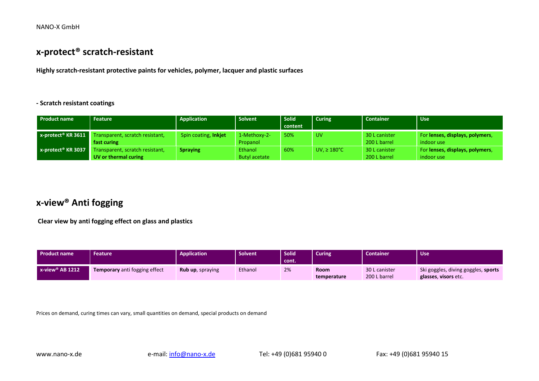### **x-protect® scratch-resistant**

**Highly scratch-resistant protective paints for vehicles, polymer, lacquer and plastic surfaces**

#### **- Scratch resistant coatings**

| <b>Product name</b>               | <b>Feature</b>                  | Application          | Solvent       | <b>Solid</b> | <b>Curing</b>            | <b>Container</b> | <b>Use</b>                      |
|-----------------------------------|---------------------------------|----------------------|---------------|--------------|--------------------------|------------------|---------------------------------|
|                                   |                                 |                      |               | content      |                          |                  |                                 |
| $x$ -protect <sup>®</sup> KR 3611 | Transparent, scratch resistant, | Spin coating, Inkjet | 1-Methoxy-2-  | 50%          | <b>UV</b>                | 30 L canister    | For lenses, displays, polymers, |
|                                   | fast curing                     |                      | Propanol      |              |                          | 200 L barrel     | indoor use                      |
| $x$ -protect <sup>®</sup> KR 3037 | Transparent, scratch resistant, | <b>Spraying</b>      | Ethanol       | 60%          | UV, $\geq 180^{\circ}$ C | 30 L canister    | For lenses, displays, polymers, |
|                                   | UV or thermal curing            |                      | Butyl acetate |              |                          | 200 L barrel     | indoor use                      |

### **x-view® Anti fogging**

**Clear view by anti fogging effect on glass and plastics**

| <b>Product name</b>            | <b>Feature</b>                       | <b>Application</b>       | <b>Solvent</b> | Solid<br>cont. | Curing <sup>1</sup>        | <b>Container</b>              | Use.                                                        |
|--------------------------------|--------------------------------------|--------------------------|----------------|----------------|----------------------------|-------------------------------|-------------------------------------------------------------|
| $x$ -view <sup>®</sup> AB 1212 | <b>Temporary</b> anti fogging effect | <b>Rub up</b> , spraying | Ethanol        | 2%             | <b>Room</b><br>temperature | 30 L canister<br>200 L barrel | Ski goggles, diving goggles, sports<br>glasses, visors etc. |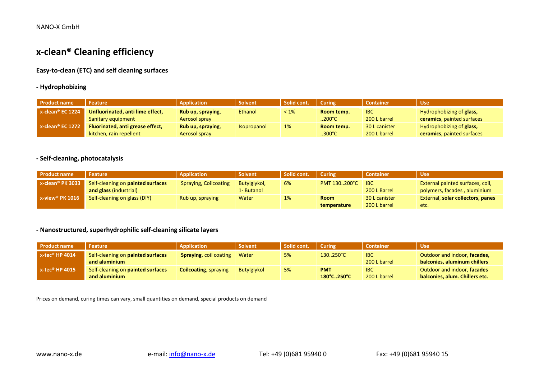### **x-clean® Cleaning efficiency**

#### **Easy-to-clean (ETC) and self cleaning surfaces**

#### **- Hydrophobizing**

| <b>Product name</b>             | <b>Feature</b>                   | Application          | <b>Solvent</b>     | Solid cont. | <b>Curing</b>    | <b>Container</b> | <b>Use</b>                 |
|---------------------------------|----------------------------------|----------------------|--------------------|-------------|------------------|------------------|----------------------------|
| $x$ -clean <sup>®</sup> EC 1224 | Unfluorinated, anti lime effect, | Rub up, spraying,    | <b>Ethanol</b>     | $< 1\%$     | Room temp.       | <b>IBC</b>       | Hydrophobizing of glass,   |
|                                 | Sanitary equipment               | <b>Aerosol spray</b> |                    |             | $.200^{\circ}$ C | 200 L barrel     | ceramics, painted surfaces |
| $x$ -clean <sup>®</sup> EC 1272 | Fluorinated, anti grease effect, | Rub up, spraying,    | <b>Isopropanol</b> | 1%          | Room temp.       | 30 L canister    | Hydrophobizing of glass,   |
|                                 | kitchen, rain repellent          | <b>Aerosol spray</b> |                    |             | $300^{\circ}$ C  | 200 L barrel     | ceramics, painted surfaces |

#### **- Self-cleaning, photocatalysis**

| <b>Product name</b>             | <b>Feature</b>                                                     | Application                  | <b>Solvent</b>             | Solid cont. | Curing                     | <b>Container</b>              | <b>Use</b>                                                       |
|---------------------------------|--------------------------------------------------------------------|------------------------------|----------------------------|-------------|----------------------------|-------------------------------|------------------------------------------------------------------|
| $x$ -clean <sup>®</sup> PK 3033 | Self-cleaning on painted surfaces<br><b>and glass (industrial)</b> | <b>Spraying, Coilcoating</b> | Butylglykol,<br>1- Butanol | 6%          | PMT 130200°C               | <b>IBC</b><br>200 L Barrel    | External painted surfaces, coil,<br>polymers, facades, aluminium |
| $x$ -view <sup>®</sup> PK 1016  | Self-cleaning on glass (DIY)                                       | Rub up, spraying             | Water                      | 1%          | <b>Room</b><br>temperature | 30 L canister<br>200 L barrel | External, solar collectors, panes<br>etc.                        |

#### **- Nanostructured, superhydrophilic self-cleaning silicate layers**

| <b>Product name</b>           | <b>Feature</b>                                     | Application                   | <b>Solvent</b> | Solid cont. | <b>Curing</b>            | <b>Container</b>           | <b>Use</b>                                                    |
|-------------------------------|----------------------------------------------------|-------------------------------|----------------|-------------|--------------------------|----------------------------|---------------------------------------------------------------|
| $x$ -tec® HP 4014             | Self-cleaning on painted surfaces<br>and aluminium | <b>Spraying, coil coating</b> | Water          | 5%          | 130250°C                 | <b>IBC</b><br>200 L barrel | Outdoor and indoor, facades,<br>balconies, aluminum chillers  |
| $x$ -tec <sup>®</sup> HP 4015 | Self-cleaning on painted surfaces<br>and aluminium | <b>Coilcoating, spraying</b>  | Butylglykol    | 5%          | <b>PMT</b><br>180°C250°C | <b>IBC</b><br>200 L barrel | Outdoor and indoor, facades<br>balconies, alum, Chillers etc. |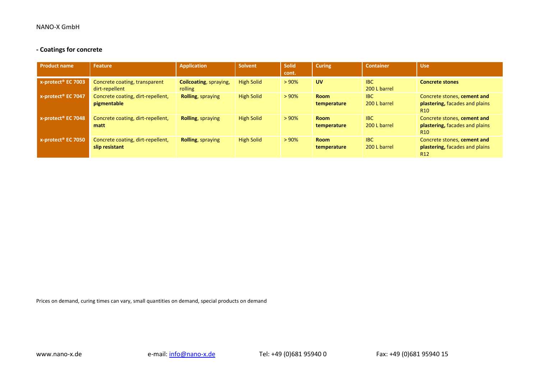#### **- Coatings for concrete**

| <b>Product name</b>            | Feature                                             | <b>Application</b>                        | Solvent           | <b>Solid</b><br>cont. | <b>Curing</b>              | <b>Container</b>           | <b>Use</b>                                                                       |
|--------------------------------|-----------------------------------------------------|-------------------------------------------|-------------------|-----------------------|----------------------------|----------------------------|----------------------------------------------------------------------------------|
| x-protect <sup>®</sup> EC 7003 | Concrete coating, transparent<br>dirt-repellent     | <b>Coilcoating</b> , spraying,<br>rolling | <b>High Solid</b> | >90%                  | <b>UV</b>                  | <b>IBC</b><br>200 L barrel | <b>Concrete stones</b>                                                           |
| x-protect <sup>®</sup> EC 7047 | Concrete coating, dirt-repellent,<br>pigmentable    | <b>Rolling</b> , spraying                 | <b>High Solid</b> | > 90%                 | <b>Room</b><br>temperature | <b>IBC</b><br>200 L barrel | Concrete stones, cement and<br>plastering, facades and plains<br>R <sub>10</sub> |
| x-protect <sup>®</sup> EC 7048 | Concrete coating, dirt-repellent,<br>matt           | <b>Rolling, spraying</b>                  | <b>High Solid</b> | >90%                  | <b>Room</b><br>temperature | <b>IBC</b><br>200 L barrel | Concrete stones, cement and<br>plastering, facades and plains<br>R <sub>10</sub> |
| x-protect <sup>®</sup> EC 7050 | Concrete coating, dirt-repellent,<br>slip resistant | <b>Rolling, spraying</b>                  | <b>High Solid</b> | > 90%                 | <b>Room</b><br>temperature | <b>IBC</b><br>200 L barrel | Concrete stones, cement and<br>plastering, facades and plains<br>R <sub>12</sub> |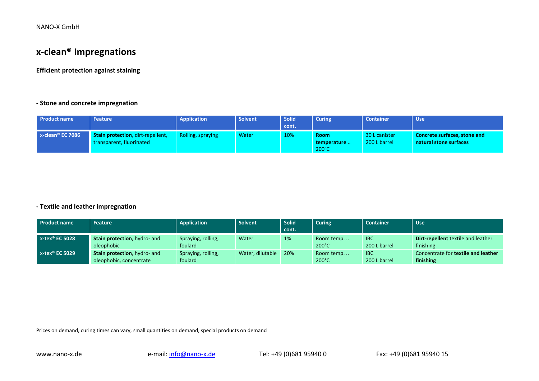### **x-clean® Impregnations**

**Efficient protection against staining**

#### **- Stone and concrete impregnation**

| <b>Product name</b> | <b>Feature</b>                                                | <b>Application</b> | Solvent | <b>Solid</b><br>cont. | <b>Curing</b>                       | <b>Container</b>              | <b>Use</b>                                                    |
|---------------------|---------------------------------------------------------------|--------------------|---------|-----------------------|-------------------------------------|-------------------------------|---------------------------------------------------------------|
| $x$ -clean® EC 7086 | Stain protection, dirt-repellent,<br>transparent. fluorinated | Rolling, spraying  | Water   | 10%                   | <b>Room</b><br>temperature<br>200°C | 30 L canister<br>200 L barrel | <b>Concrete surfaces, stone and</b><br>natural stone surfaces |

#### **- Textile and leather impregnation**

| <b>Product name</b>           | <b>Feature</b>                                                  | <b>Application</b>            | Solvent          | <b>Solid</b> | <b>Curing</b>                 | <b>Container</b>           | <b>Use</b>                                       |
|-------------------------------|-----------------------------------------------------------------|-------------------------------|------------------|--------------|-------------------------------|----------------------------|--------------------------------------------------|
|                               |                                                                 |                               |                  | cont.        |                               |                            |                                                  |
| $x$ -tex <sup>®</sup> EC 5028 | <b>Stain protection, hydro- and</b><br>oleophobic               | Spraying, rolling,<br>foulard | Water            | 1%           | Room temp.<br>$200^{\circ}$ C | IBC<br>200 L barrel        | Dirt-repellent textile and leather<br>finishing  |
| $x$ -tex <sup>®</sup> EC 5029 | <b>Stain protection</b> , hydro- and<br>oleophobic, concentrate | Spraying, rolling,<br>foulard | Water, dilutable | 20%          | Room temp.<br>$200^{\circ}$ C | <b>IBC</b><br>200 L barrel | Concentrate for textile and leather<br>finishing |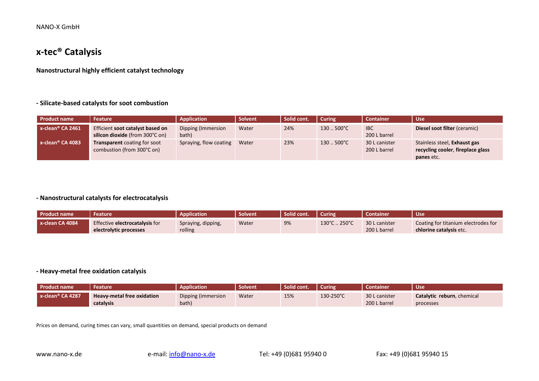### **x-tec® Catalysis**

**Nanostructural highly efficient catalyst technology**

#### **- Silicate-based catalysts for soot combustion**

| <b>Product name</b> | Feature                                                             | <b>Application</b>          | Solvent | Solid cont. | <b>Curing</b>       | <b>Container</b>              | <b>Use</b>                                                                      |
|---------------------|---------------------------------------------------------------------|-----------------------------|---------|-------------|---------------------|-------------------------------|---------------------------------------------------------------------------------|
| x-clean® CA 2461    | Efficient soot catalyst based on<br>silicon dioxide (from 300°C on) | Dipping (Immersion<br>bath) | Water   | 24%         | $130.500^{\circ}$ C | <b>IBC</b><br>200 L barrel    | Diesel soot filter (ceramic)                                                    |
| x-clean® CA 4083    | <b>Transparent</b> coating for soot<br>combustion (from 300°C on)   | Spraying, flow coating      | Water   | 23%         | $130500^{\circ}C$   | 30 L canister<br>200 L barrel | Stainless steel, Exhaust gas<br>recycling cooler, fireplace glass<br>panes etc. |

#### **- Nanostructural catalysts for electrocatalysis**

| <b>Product name</b> | Feature                        | <b>Application</b> | <b>Solvent</b> | Solid cont. | <b>Curing</b> | Container     | -Use                                |
|---------------------|--------------------------------|--------------------|----------------|-------------|---------------|---------------|-------------------------------------|
| $x$ -clean CA 4084  | Effective electrocatalysis for | Spraying, dipping, | Water          | 9%          | 130°C  250°C  | 30 L canister | Coating for titanium electrodes for |
|                     | electrolytic processes         | rolling            |                |             |               | 200 L barrel  | chlorine catalysis etc.             |

#### **- Heavy-metal free oxidation catalysis**

| Product name        | Feature                           | <b>Application</b> | <b>Solvent</b> | Solid cont. | <b>Curing</b> | <b>Container</b> | <b>Use</b>                 |
|---------------------|-----------------------------------|--------------------|----------------|-------------|---------------|------------------|----------------------------|
| $x$ -clean® CA 4287 | <b>Heavy-metal free oxidation</b> | Dipping (immersion | Water          | 15%         | 130-250°C     | 30 L canister    | Catalytic reburn, chemical |
|                     | catalysis                         | bath)              |                |             |               | 200 L barrel     | processes                  |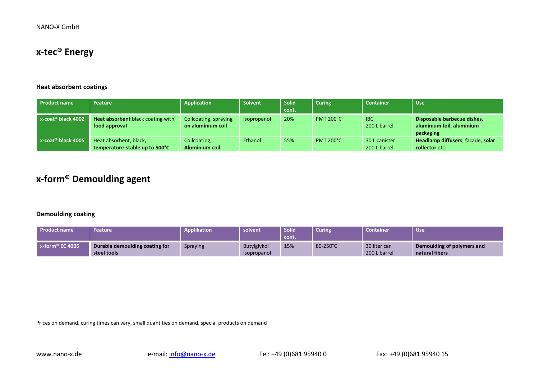### **x-tec® Energy**

#### **Heat absorbent coatings**

| <b>Product name</b>               | Feature                                                  | Application                                | Solvent     | <b>Solid</b><br>cont. | <b>Curing</b>    | <b>Container</b>              | <b>Use</b>                                                            |
|-----------------------------------|----------------------------------------------------------|--------------------------------------------|-------------|-----------------------|------------------|-------------------------------|-----------------------------------------------------------------------|
| $x$ -coat <sup>®</sup> black 4002 | Heat absorbent black coating with<br>food approval       | Coilcoating, spraying<br>on aluminium coil | Isopropanol | 20%                   | <b>PMT 200°C</b> | <b>IBC</b><br>200 L barrel    | Disposable barbecue dishes,<br>aluminium foil, aluminium<br>packaging |
| $x$ -coat <sup>®</sup> black 4005 | Heat absorbent, black,<br>temperature-stable up to 500°C | Coilcoating,<br>Aluminium coil             | Ethanol     | 55%                   | <b>PMT 200°C</b> | 30 L canister<br>200 L barrel | Headlamp diffusers, facade, solar<br>collector etc.                   |

### **x-form® Demoulding agent**

#### **Demoulding coating**

| <b>Product name</b>            | Feature                                       | Applikation     | solvent                    | Solid <sup>®</sup><br><b>L</b> cont. | Curing   | <b>Container</b>             | <b>Use</b>                                   |
|--------------------------------|-----------------------------------------------|-----------------|----------------------------|--------------------------------------|----------|------------------------------|----------------------------------------------|
| $\blacksquare$ x-form® EC 4006 | Durable demoulding coating for<br>steel tools | <b>Spraying</b> | Butylglykol<br>Isopropanol | 15%                                  | 80-250°C | 30 liter can<br>200 L barrel | Demoulding of polymers and<br>natural fibers |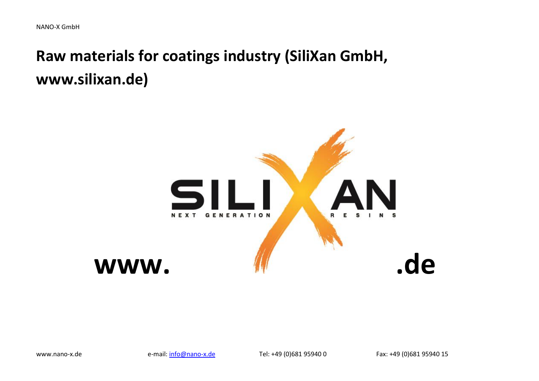# **Raw materials for coatings industry (SiliXan GmbH, www.silixan.de)**